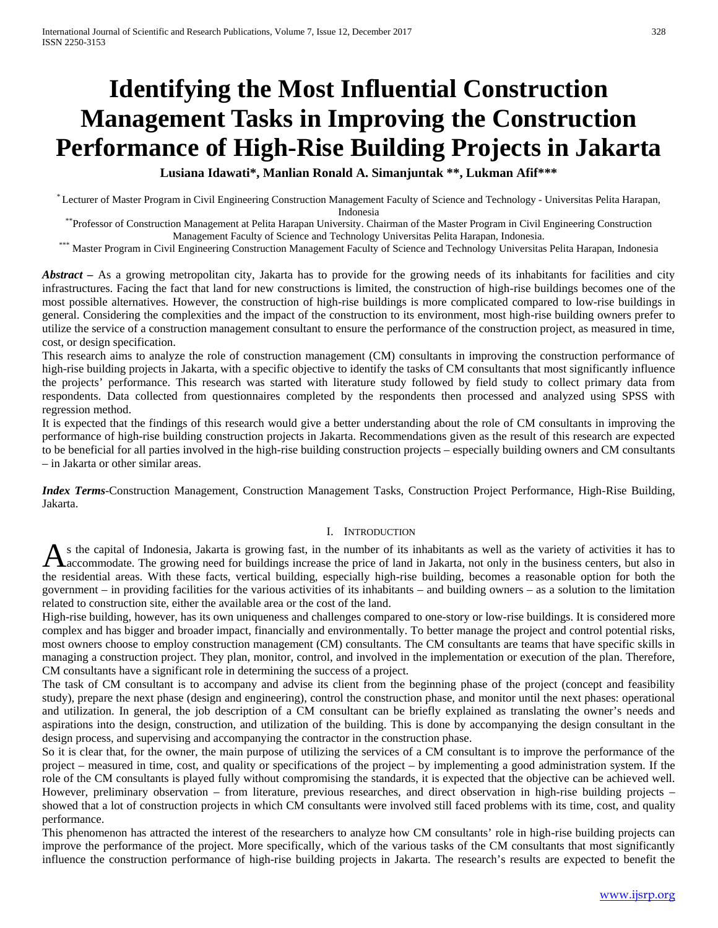# **Identifying the Most Influential Construction Management Tasks in Improving the Construction Performance of High-Rise Building Projects in Jakarta**

**Lusiana Idawati\*, Manlian Ronald A. Simanjuntak \*\*, Lukman Afif\*\*\***

\* Lecturer of Master Program in Civil Engineering Construction Management Faculty of Science and Technology - Universitas Pelita Harapan, Indonesia \*\*Professor of Construction Management at Pelita Harapan University. Chairman of the Master Program in Civil Engineering Construction

Management Faculty of Science and Technology Universitas Pelita Harapan, Indonesia. \*\*\* Master Program in Civil Engineering Construction Management Faculty of Science and Technology Universitas Pelita Harapan, Indonesia

*Abstract –* As a growing metropolitan city, Jakarta has to provide for the growing needs of its inhabitants for facilities and city infrastructures. Facing the fact that land for new constructions is limited, the construction of high-rise buildings becomes one of the most possible alternatives. However, the construction of high-rise buildings is more complicated compared to low-rise buildings in general. Considering the complexities and the impact of the construction to its environment, most high-rise building owners prefer to utilize the service of a construction management consultant to ensure the performance of the construction project, as measured in time, cost, or design specification.

This research aims to analyze the role of construction management (CM) consultants in improving the construction performance of high-rise building projects in Jakarta, with a specific objective to identify the tasks of CM consultants that most significantly influence the projects' performance. This research was started with literature study followed by field study to collect primary data from respondents. Data collected from questionnaires completed by the respondents then processed and analyzed using SPSS with regression method.

It is expected that the findings of this research would give a better understanding about the role of CM consultants in improving the performance of high-rise building construction projects in Jakarta. Recommendations given as the result of this research are expected to be beneficial for all parties involved in the high-rise building construction projects – especially building owners and CM consultants – in Jakarta or other similar areas.

*Index Terms*-Construction Management, Construction Management Tasks, Construction Project Performance, High-Rise Building, Jakarta.

#### I. INTRODUCTION

s the capital of Indonesia, Jakarta is growing fast, in the number of its inhabitants as well as the variety of activities it has to As the capital of Indonesia, Jakarta is growing fast, in the number of its inhabitants as well as the variety of activities it has to accommodate. The growing need for buildings increase the price of land in Jakarta, not o the residential areas. With these facts, vertical building, especially high-rise building, becomes a reasonable option for both the government – in providing facilities for the various activities of its inhabitants – and building owners – as a solution to the limitation related to construction site, either the available area or the cost of the land.

High-rise building, however, has its own uniqueness and challenges compared to one-story or low-rise buildings. It is considered more complex and has bigger and broader impact, financially and environmentally. To better manage the project and control potential risks, most owners choose to employ construction management (CM) consultants. The CM consultants are teams that have specific skills in managing a construction project. They plan, monitor, control, and involved in the implementation or execution of the plan. Therefore, CM consultants have a significant role in determining the success of a project.

The task of CM consultant is to accompany and advise its client from the beginning phase of the project (concept and feasibility study), prepare the next phase (design and engineering), control the construction phase, and monitor until the next phases: operational and utilization. In general, the job description of a CM consultant can be briefly explained as translating the owner's needs and aspirations into the design, construction, and utilization of the building. This is done by accompanying the design consultant in the design process, and supervising and accompanying the contractor in the construction phase.

So it is clear that, for the owner, the main purpose of utilizing the services of a CM consultant is to improve the performance of the project – measured in time, cost, and quality or specifications of the project – by implementing a good administration system. If the role of the CM consultants is played fully without compromising the standards, it is expected that the objective can be achieved well. However, preliminary observation – from literature, previous researches, and direct observation in high-rise building projects – showed that a lot of construction projects in which CM consultants were involved still faced problems with its time, cost, and quality performance.

This phenomenon has attracted the interest of the researchers to analyze how CM consultants' role in high-rise building projects can improve the performance of the project. More specifically, which of the various tasks of the CM consultants that most significantly influence the construction performance of high-rise building projects in Jakarta. The research's results are expected to benefit the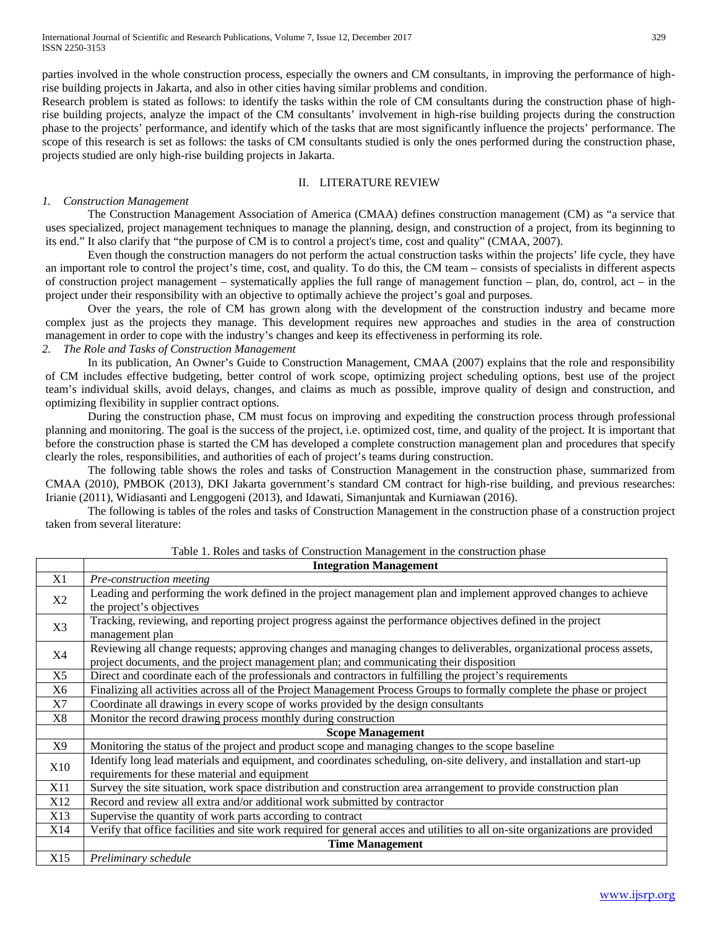parties involved in the whole construction process, especially the owners and CM consultants, in improving the performance of highrise building projects in Jakarta, and also in other cities having similar problems and condition.

Research problem is stated as follows: to identify the tasks within the role of CM consultants during the construction phase of highrise building projects, analyze the impact of the CM consultants' involvement in high-rise building projects during the construction phase to the projects' performance, and identify which of the tasks that are most significantly influence the projects' performance. The scope of this research is set as follows: the tasks of CM consultants studied is only the ones performed during the construction phase, projects studied are only high-rise building projects in Jakarta.

#### II. LITERATURE REVIEW

#### *1. Construction Management*

The Construction Management Association of America (CMAA) defines construction management (CM) as "a service that uses specialized, project management techniques to manage the planning, design, and construction of a project, from its beginning to its end." It also clarify that "the purpose of CM is to control a project's time, cost and quality" (CMAA, 2007).

Even though the construction managers do not perform the actual construction tasks within the projects' life cycle, they have an important role to control the project's time, cost, and quality. To do this, the CM team – consists of specialists in different aspects of construction project management – systematically applies the full range of management function – plan, do, control, act – in the project under their responsibility with an objective to optimally achieve the project's goal and purposes.

Over the years, the role of CM has grown along with the development of the construction industry and became more complex just as the projects they manage. This development requires new approaches and studies in the area of construction management in order to cope with the industry's changes and keep its effectiveness in performing its role.

# *2. The Role and Tasks of Construction Management*

In its publication, An Owner's Guide to Construction Management, CMAA (2007) explains that the role and responsibility of CM includes effective budgeting, better control of work scope, optimizing project scheduling options, best use of the project team's individual skills, avoid delays, changes, and claims as much as possible, improve quality of design and construction, and optimizing flexibility in supplier contract options.

During the construction phase, CM must focus on improving and expediting the construction process through professional planning and monitoring. The goal is the success of the project, i.e. optimized cost, time, and quality of the project. It is important that before the construction phase is started the CM has developed a complete construction management plan and procedures that specify clearly the roles, responsibilities, and authorities of each of project's teams during construction.

The following table shows the roles and tasks of Construction Management in the construction phase, summarized from CMAA (2010), PMBOK (2013), DKI Jakarta government's standard CM contract for high-rise building, and previous researches: Irianie (2011), Widiasanti and Lenggogeni (2013), and Idawati, Simanjuntak and Kurniawan (2016).

The following is tables of the roles and tasks of Construction Management in the construction phase of a construction project taken from several literature:

|                 | <b>Integration Management</b>                                                                                                                                                                                    |  |  |  |  |  |
|-----------------|------------------------------------------------------------------------------------------------------------------------------------------------------------------------------------------------------------------|--|--|--|--|--|
| X1              | Pre-construction meeting                                                                                                                                                                                         |  |  |  |  |  |
| X <sub>2</sub>  | Leading and performing the work defined in the project management plan and implement approved changes to achieve<br>the project's objectives                                                                     |  |  |  |  |  |
| X <sub>3</sub>  | Tracking, reviewing, and reporting project progress against the performance objectives defined in the project<br>management plan                                                                                 |  |  |  |  |  |
| X <sub>4</sub>  | Reviewing all change requests; approving changes and managing changes to deliverables, organizational process assets,<br>project documents, and the project management plan; and communicating their disposition |  |  |  |  |  |
| X <sub>5</sub>  | Direct and coordinate each of the professionals and contractors in fulfilling the project's requirements                                                                                                         |  |  |  |  |  |
| X6              | Finalizing all activities across all of the Project Management Process Groups to formally complete the phase or project                                                                                          |  |  |  |  |  |
| X7              | Coordinate all drawings in every scope of works provided by the design consultants                                                                                                                               |  |  |  |  |  |
| X8              | Monitor the record drawing process monthly during construction                                                                                                                                                   |  |  |  |  |  |
|                 | <b>Scope Management</b>                                                                                                                                                                                          |  |  |  |  |  |
| X9              | Monitoring the status of the project and product scope and managing changes to the scope baseline                                                                                                                |  |  |  |  |  |
| X10             | Identify long lead materials and equipment, and coordinates scheduling, on-site delivery, and installation and start-up<br>requirements for these material and equipment                                         |  |  |  |  |  |
| X11             | Survey the site situation, work space distribution and construction area arrangement to provide construction plan                                                                                                |  |  |  |  |  |
| X12             | Record and review all extra and/or additional work submitted by contractor                                                                                                                                       |  |  |  |  |  |
| X13             | Supervise the quantity of work parts according to contract                                                                                                                                                       |  |  |  |  |  |
| X14             | Verify that office facilities and site work required for general acces and utilities to all on-site organizations are provided                                                                                   |  |  |  |  |  |
|                 | <b>Time Management</b>                                                                                                                                                                                           |  |  |  |  |  |
| X <sub>15</sub> | Preliminary schedule                                                                                                                                                                                             |  |  |  |  |  |

Table 1. Roles and tasks of Construction Management in the construction phase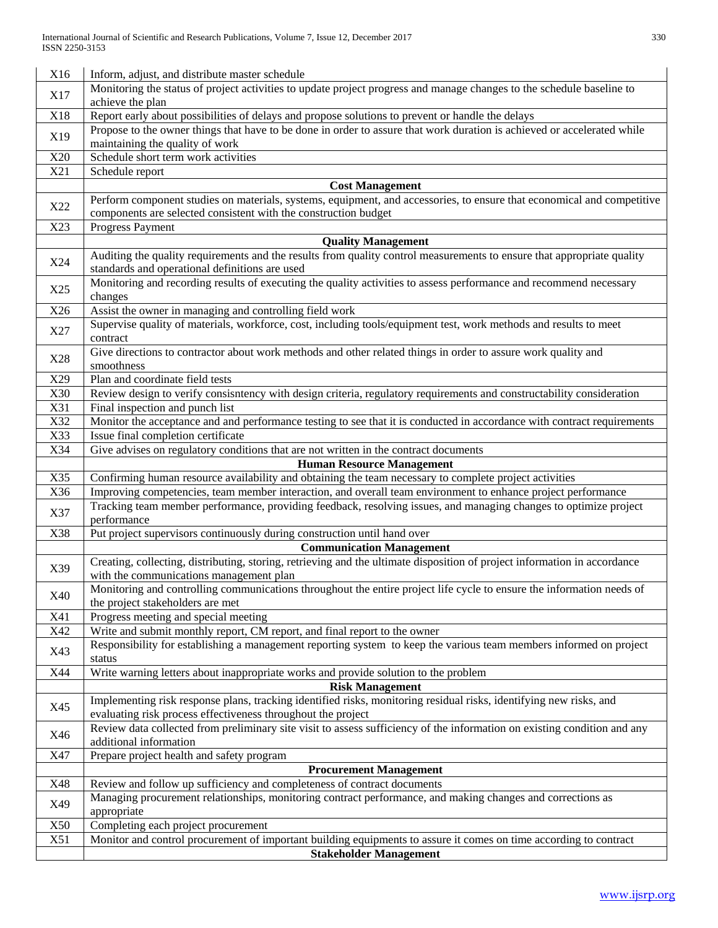| X16        | Inform, adjust, and distribute master schedule                                                                                                                                            |  |  |  |  |  |
|------------|-------------------------------------------------------------------------------------------------------------------------------------------------------------------------------------------|--|--|--|--|--|
| X17        | Monitoring the status of project activities to update project progress and manage changes to the schedule baseline to<br>achieve the plan                                                 |  |  |  |  |  |
| X18        | Report early about possibilities of delays and propose solutions to prevent or handle the delays                                                                                          |  |  |  |  |  |
| X19        | Propose to the owner things that have to be done in order to assure that work duration is achieved or accelerated while<br>maintaining the quality of work                                |  |  |  |  |  |
| X20        | Schedule short term work activities                                                                                                                                                       |  |  |  |  |  |
| X21        | Schedule report                                                                                                                                                                           |  |  |  |  |  |
|            | <b>Cost Management</b>                                                                                                                                                                    |  |  |  |  |  |
| X22        | Perform component studies on materials, systems, equipment, and accessories, to ensure that economical and competitive<br>components are selected consistent with the construction budget |  |  |  |  |  |
| X23        | Progress Payment                                                                                                                                                                          |  |  |  |  |  |
|            | <b>Quality Management</b>                                                                                                                                                                 |  |  |  |  |  |
| X24        | Auditing the quality requirements and the results from quality control measurements to ensure that appropriate quality<br>standards and operational definitions are used                  |  |  |  |  |  |
| X25        | Monitoring and recording results of executing the quality activities to assess performance and recommend necessary<br>changes                                                             |  |  |  |  |  |
| X26        | Assist the owner in managing and controlling field work                                                                                                                                   |  |  |  |  |  |
| X27        | Supervise quality of materials, workforce, cost, including tools/equipment test, work methods and results to meet<br>contract                                                             |  |  |  |  |  |
| X28        | Give directions to contractor about work methods and other related things in order to assure work quality and<br>smoothness                                                               |  |  |  |  |  |
| X29        | Plan and coordinate field tests                                                                                                                                                           |  |  |  |  |  |
| X30        | Review design to verify consisntency with design criteria, regulatory requirements and constructability consideration                                                                     |  |  |  |  |  |
| X31        | Final inspection and punch list                                                                                                                                                           |  |  |  |  |  |
| X32        | Monitor the acceptance and and performance testing to see that it is conducted in accordance with contract requirements                                                                   |  |  |  |  |  |
| X33        | Issue final completion certificate                                                                                                                                                        |  |  |  |  |  |
| X34        | Give advises on regulatory conditions that are not written in the contract documents                                                                                                      |  |  |  |  |  |
|            | <b>Human Resource Management</b>                                                                                                                                                          |  |  |  |  |  |
| X35        | Confirming human resource availability and obtaining the team necessary to complete project activities                                                                                    |  |  |  |  |  |
| X36        | Improving competencies, team member interaction, and overall team environment to enhance project performance                                                                              |  |  |  |  |  |
| X37        | Tracking team member performance, providing feedback, resolving issues, and managing changes to optimize project<br>performance                                                           |  |  |  |  |  |
| X38        | Put project supervisors continuously during construction until hand over                                                                                                                  |  |  |  |  |  |
|            | <b>Communication Management</b>                                                                                                                                                           |  |  |  |  |  |
| X39        | Creating, collecting, distributing, storing, retrieving and the ultimate disposition of project information in accordance<br>with the communications management plan                      |  |  |  |  |  |
| X40        | Monitoring and controlling communications throughout the entire project life cycle to ensure the information needs of<br>the project stakeholders are met                                 |  |  |  |  |  |
| X41        | Progress meeting and special meeting                                                                                                                                                      |  |  |  |  |  |
| X42        | Write and submit monthly report, CM report, and final report to the owner                                                                                                                 |  |  |  |  |  |
| X43        | Responsibility for establishing a management reporting system to keep the various team members informed on project<br>status                                                              |  |  |  |  |  |
| X44        | Write warning letters about inappropriate works and provide solution to the problem                                                                                                       |  |  |  |  |  |
|            | <b>Risk Management</b>                                                                                                                                                                    |  |  |  |  |  |
| X45        | Implementing risk response plans, tracking identified risks, monitoring residual risks, identifying new risks, and<br>evaluating risk process effectiveness throughout the project        |  |  |  |  |  |
| X46        | Review data collected from preliminary site visit to assess sufficiency of the information on existing condition and any<br>additional information                                        |  |  |  |  |  |
| X47        | Prepare project health and safety program                                                                                                                                                 |  |  |  |  |  |
|            | <b>Procurement Management</b>                                                                                                                                                             |  |  |  |  |  |
| X48        | Review and follow up sufficiency and completeness of contract documents                                                                                                                   |  |  |  |  |  |
| X49        | Managing procurement relationships, monitoring contract performance, and making changes and corrections as<br>appropriate                                                                 |  |  |  |  |  |
| <b>X50</b> | Completing each project procurement                                                                                                                                                       |  |  |  |  |  |
| X51        | Monitor and control procurement of important building equipments to assure it comes on time according to contract                                                                         |  |  |  |  |  |
|            | <b>Stakeholder Management</b>                                                                                                                                                             |  |  |  |  |  |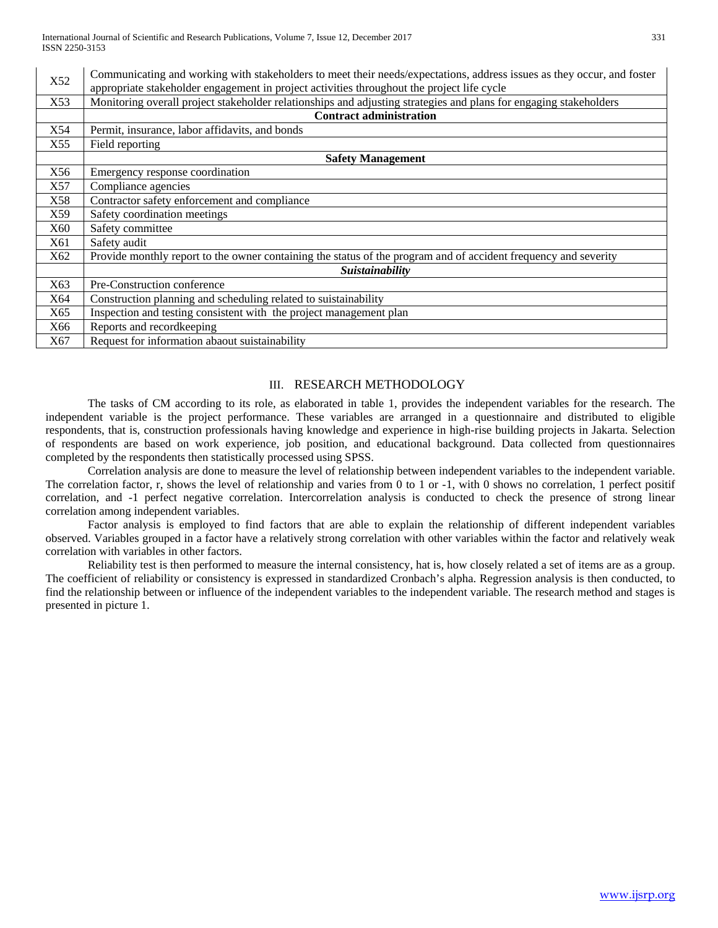| X52 | Communicating and working with stakeholders to meet their needs/expectations, address issues as they occur, and foster |  |  |  |  |  |
|-----|------------------------------------------------------------------------------------------------------------------------|--|--|--|--|--|
|     | appropriate stakeholder engagement in project activities throughout the project life cycle                             |  |  |  |  |  |
| X53 | Monitoring overall project stakeholder relationships and adjusting strategies and plans for engaging stakeholders      |  |  |  |  |  |
|     | <b>Contract administration</b>                                                                                         |  |  |  |  |  |
| X54 | Permit, insurance, labor affidavits, and bonds                                                                         |  |  |  |  |  |
| X55 | Field reporting                                                                                                        |  |  |  |  |  |
|     | <b>Safety Management</b>                                                                                               |  |  |  |  |  |
| X56 | Emergency response coordination                                                                                        |  |  |  |  |  |
| X57 | Compliance agencies                                                                                                    |  |  |  |  |  |
| X58 | Contractor safety enforcement and compliance                                                                           |  |  |  |  |  |
| X59 | Safety coordination meetings                                                                                           |  |  |  |  |  |
| X60 | Safety committee                                                                                                       |  |  |  |  |  |
| X61 | Safety audit                                                                                                           |  |  |  |  |  |
| X62 | Provide monthly report to the owner containing the status of the program and of accident frequency and severity        |  |  |  |  |  |
|     | Suistainability                                                                                                        |  |  |  |  |  |
| X63 | Pre-Construction conference                                                                                            |  |  |  |  |  |
| X64 | Construction planning and scheduling related to suistainability                                                        |  |  |  |  |  |
| X65 | Inspection and testing consistent with the project management plan                                                     |  |  |  |  |  |
| X66 | Reports and recordkeeping                                                                                              |  |  |  |  |  |
| X67 | Request for information abaout suistainability                                                                         |  |  |  |  |  |

## III. RESEARCH METHODOLOGY

The tasks of CM according to its role, as elaborated in table 1, provides the independent variables for the research. The independent variable is the project performance. These variables are arranged in a questionnaire and distributed to eligible respondents, that is, construction professionals having knowledge and experience in high-rise building projects in Jakarta. Selection of respondents are based on work experience, job position, and educational background. Data collected from questionnaires completed by the respondents then statistically processed using SPSS.

Correlation analysis are done to measure the level of relationship between independent variables to the independent variable. The correlation factor, r, shows the level of relationship and varies from 0 to 1 or -1, with 0 shows no correlation, 1 perfect positif correlation, and -1 perfect negative correlation. Intercorrelation analysis is conducted to check the presence of strong linear correlation among independent variables.

Factor analysis is employed to find factors that are able to explain the relationship of different independent variables observed. Variables grouped in a factor have a relatively strong correlation with other variables within the factor and relatively weak correlation with variables in other factors.

Reliability test is then performed to measure the internal consistency, hat is, how closely related a set of items are as a group. The coefficient of reliability or consistency is expressed in standardized Cronbach's alpha. Regression analysis is then conducted, to find the relationship between or influence of the independent variables to the independent variable. The research method and stages is presented in picture 1.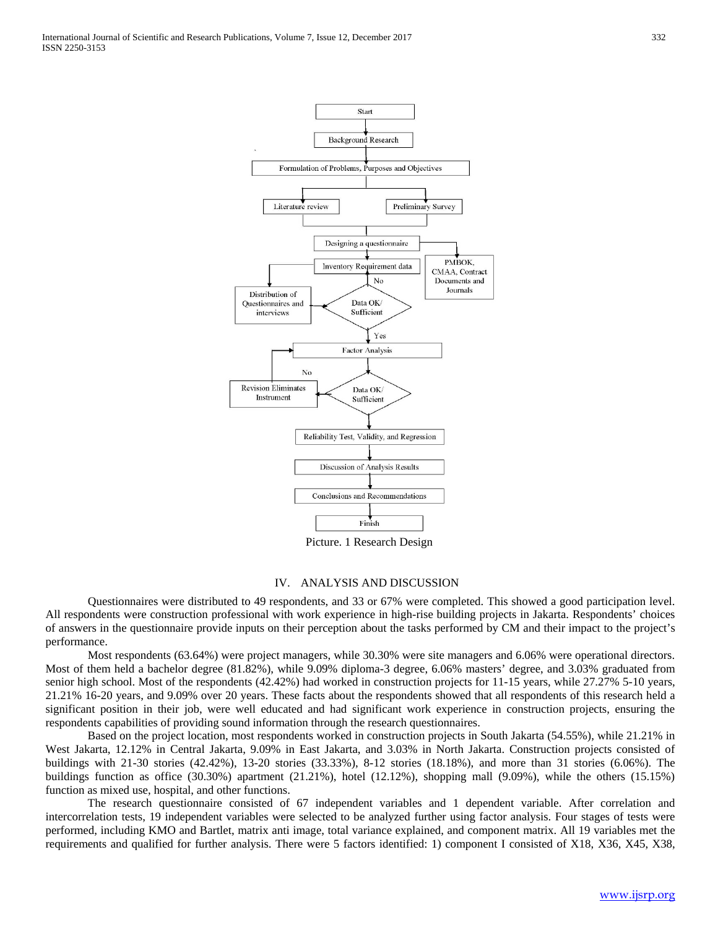

Picture. 1 Research Design

### IV. ANALYSIS AND DISCUSSION

Questionnaires were distributed to 49 respondents, and 33 or 67% were completed. This showed a good participation level. All respondents were construction professional with work experience in high-rise building projects in Jakarta. Respondents' choices of answers in the questionnaire provide inputs on their perception about the tasks performed by CM and their impact to the project's performance.

Most respondents (63.64%) were project managers, while 30.30% were site managers and 6.06% were operational directors. Most of them held a bachelor degree (81.82%), while 9.09% diploma-3 degree, 6.06% masters' degree, and 3.03% graduated from senior high school. Most of the respondents (42.42%) had worked in construction projects for 11-15 years, while 27.27% 5-10 years, 21.21% 16-20 years, and 9.09% over 20 years. These facts about the respondents showed that all respondents of this research held a significant position in their job, were well educated and had significant work experience in construction projects, ensuring the respondents capabilities of providing sound information through the research questionnaires.

Based on the project location, most respondents worked in construction projects in South Jakarta (54.55%), while 21.21% in West Jakarta, 12.12% in Central Jakarta, 9.09% in East Jakarta, and 3.03% in North Jakarta. Construction projects consisted of buildings with 21-30 stories (42.42%), 13-20 stories (33.33%), 8-12 stories (18.18%), and more than 31 stories (6.06%). The buildings function as office  $(30.30\%)$  apartment  $(21.21\%)$ , hotel  $(12.12\%)$ , shopping mall  $(9.09\%)$ , while the others  $(15.15\%)$ function as mixed use, hospital, and other functions.

The research questionnaire consisted of 67 independent variables and 1 dependent variable. After correlation and intercorrelation tests, 19 independent variables were selected to be analyzed further using factor analysis. Four stages of tests were performed, including KMO and Bartlet, matrix anti image, total variance explained, and component matrix. All 19 variables met the requirements and qualified for further analysis. There were 5 factors identified: 1) component I consisted of X18, X36, X45, X38,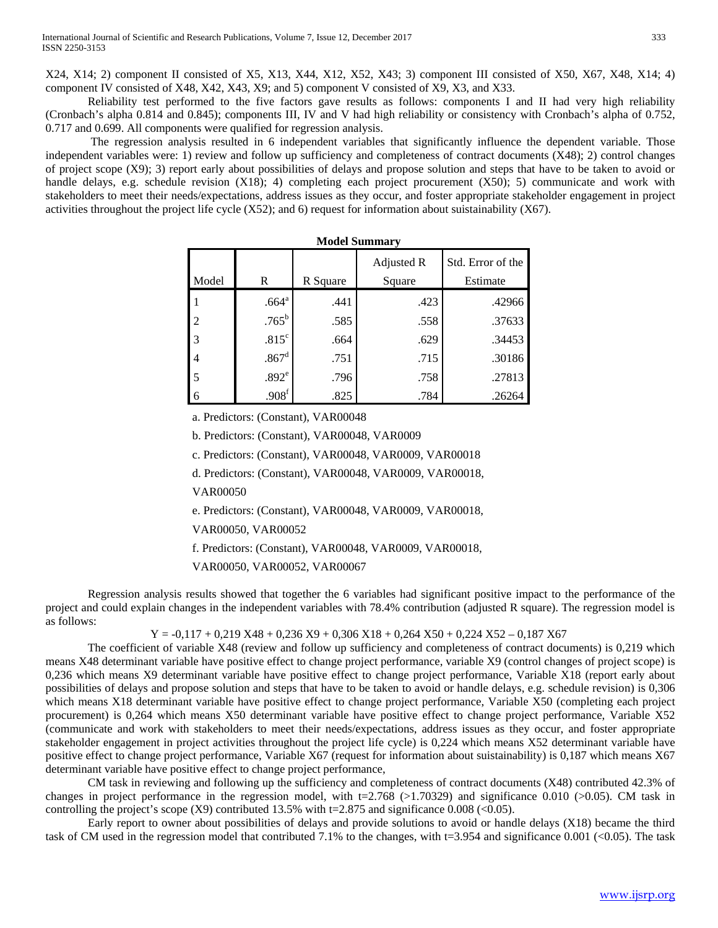X24, X14; 2) component II consisted of X5, X13, X44, X12, X52, X43; 3) component III consisted of X50, X67, X48, X14; 4) component IV consisted of X48, X42, X43, X9; and 5) component V consisted of X9, X3, and X33.

Reliability test performed to the five factors gave results as follows: components I and II had very high reliability (Cronbach's alpha 0.814 and 0.845); components III, IV and V had high reliability or consistency with Cronbach's alpha of 0.752, 0.717 and 0.699. All components were qualified for regression analysis.

The regression analysis resulted in 6 independent variables that significantly influence the dependent variable. Those independent variables were: 1) review and follow up sufficiency and completeness of contract documents (X48); 2) control changes of project scope (X9); 3) report early about possibilities of delays and propose solution and steps that have to be taken to avoid or handle delays, e.g. schedule revision  $(X18)$ ; 4) completing each project procurement  $(X50)$ ; 5) communicate and work with stakeholders to meet their needs/expectations, address issues as they occur, and foster appropriate stakeholder engagement in project activities throughout the project life cycle (X52); and 6) request for information about suistainability (X67).

|       |                   |          | Adjusted R | Std. Error of the |  |  |  |  |  |
|-------|-------------------|----------|------------|-------------------|--|--|--|--|--|
| Model | R                 | R Square | Square     | Estimate          |  |  |  |  |  |
|       | .664 <sup>a</sup> | .441     | .423       | .42966            |  |  |  |  |  |
| 2     | $.765^{\rm b}$    | .585     | .558       | .37633            |  |  |  |  |  |
| 3     | .815 <sup>c</sup> | .664     | .629       | .34453            |  |  |  |  |  |
| 4     | .867 <sup>d</sup> | .751     | .715       | .30186            |  |  |  |  |  |
| 5     | .892 <sup>e</sup> | .796     | .758       | .27813            |  |  |  |  |  |
| 6     | .908 <sup>f</sup> | .825     | .784       | .26264            |  |  |  |  |  |

| <b>Model Summarv</b> |  |
|----------------------|--|
|----------------------|--|

a. Predictors: (Constant), VAR00048

b. Predictors: (Constant), VAR00048, VAR0009

c. Predictors: (Constant), VAR00048, VAR0009, VAR00018

d. Predictors: (Constant), VAR00048, VAR0009, VAR00018,

VAR00050

e. Predictors: (Constant), VAR00048, VAR0009, VAR00018,

VAR00050, VAR00052

f. Predictors: (Constant), VAR00048, VAR0009, VAR00018,

VAR00050, VAR00052, VAR00067

Regression analysis results showed that together the 6 variables had significant positive impact to the performance of the project and could explain changes in the independent variables with 78.4% contribution (adjusted R square). The regression model is as follows:

 $Y = -0.117 + 0.219 X48 + 0.236 X9 + 0.306 X18 + 0.264 X50 + 0.224 X52 - 0.187 X67$ 

The coefficient of variable X48 (review and follow up sufficiency and completeness of contract documents) is 0,219 which means X48 determinant variable have positive effect to change project performance, variable X9 (control changes of project scope) is 0,236 which means X9 determinant variable have positive effect to change project performance, Variable X18 (report early about possibilities of delays and propose solution and steps that have to be taken to avoid or handle delays, e.g. schedule revision) is 0,306 which means X18 determinant variable have positive effect to change project performance, Variable X50 (completing each project procurement) is 0,264 which means X50 determinant variable have positive effect to change project performance, Variable X52 (communicate and work with stakeholders to meet their needs/expectations, address issues as they occur, and foster appropriate stakeholder engagement in project activities throughout the project life cycle) is 0,224 which means X52 determinant variable have positive effect to change project performance, Variable X67 (request for information about suistainability) is 0,187 which means X67 determinant variable have positive effect to change project performance,

CM task in reviewing and following up the sufficiency and completeness of contract documents (X48) contributed 42.3% of changes in project performance in the regression model, with  $t=2.768$  ( $>1.70329$ ) and significance 0.010 ( $>0.05$ ). CM task in controlling the project's scope  $(X9)$  contributed 13.5% with t=2.875 and significance 0.008 (<0.05).

Early report to owner about possibilities of delays and provide solutions to avoid or handle delays (X18) became the third task of CM used in the regression model that contributed 7.1% to the changes, with  $t=3.954$  and significance 0.001 (<0.05). The task